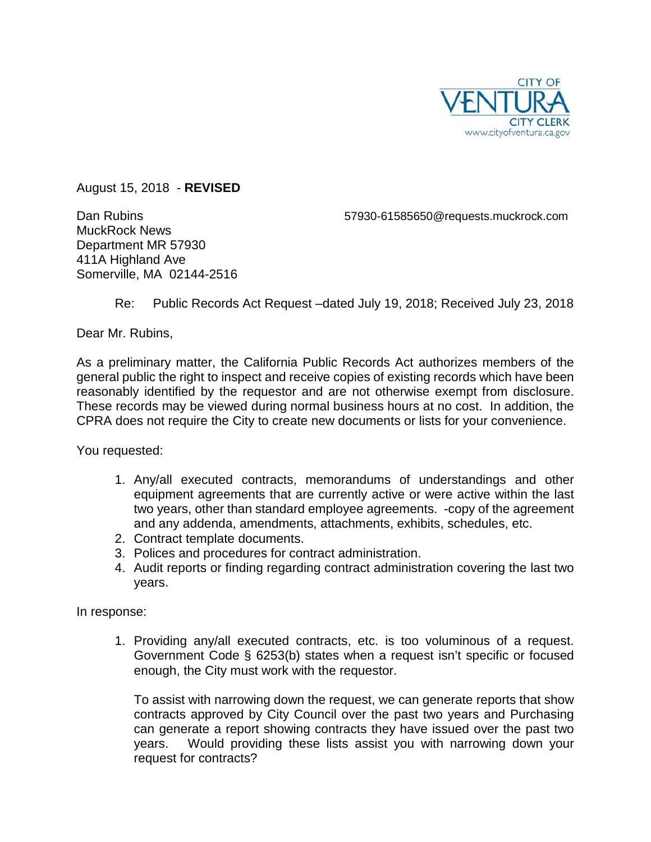

August 15, 2018 - **REVISED**

MuckRock News Department MR 57930 411A Highland Ave Somerville, MA 02144-2516

Dan Rubins 57930-61585650@requests.muckrock.com

Re: Public Records Act Request –dated July 19, 2018; Received July 23, 2018

Dear Mr. Rubins,

As a preliminary matter, the California Public Records Act authorizes members of the general public the right to inspect and receive copies of existing records which have been reasonably identified by the requestor and are not otherwise exempt from disclosure. These records may be viewed during normal business hours at no cost. In addition, the CPRA does not require the City to create new documents or lists for your convenience.

You requested:

- 1. Any/all executed contracts, memorandums of understandings and other equipment agreements that are currently active or were active within the last two years, other than standard employee agreements. -copy of the agreement and any addenda, amendments, attachments, exhibits, schedules, etc.
- 2. Contract template documents.
- 3. Polices and procedures for contract administration.
- 4. Audit reports or finding regarding contract administration covering the last two years.

In response:

1. Providing any/all executed contracts, etc. is too voluminous of a request. Government Code § 6253(b) states when a request isn't specific or focused enough, the City must work with the requestor.

To assist with narrowing down the request, we can generate reports that show contracts approved by City Council over the past two years and Purchasing can generate a report showing contracts they have issued over the past two years. Would providing these lists assist you with narrowing down your request for contracts?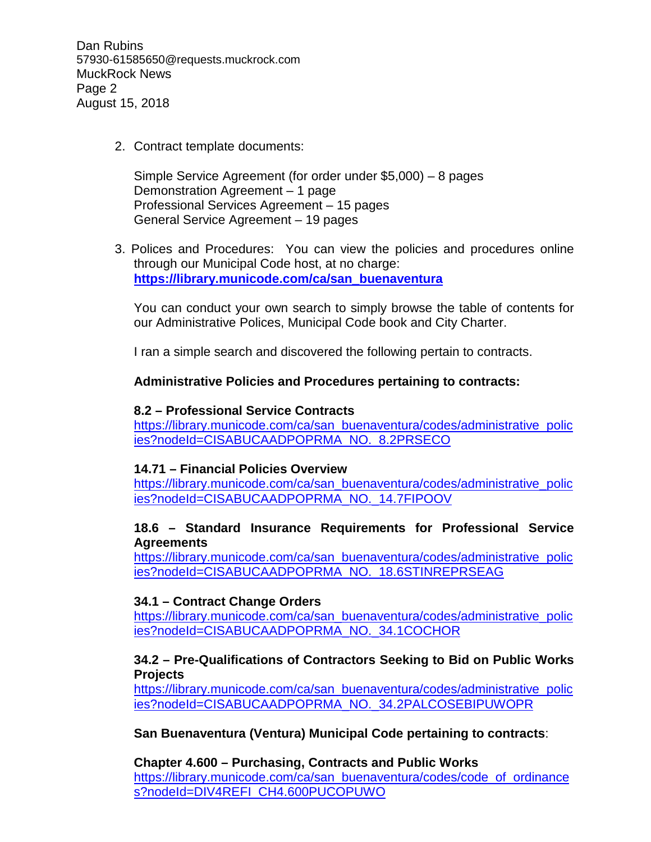Dan Rubins 57930-61585650@requests.muckrock.com MuckRock News Page 2 August 15, 2018

2. Contract template documents:

Simple Service Agreement (for order under \$5,000) – 8 pages Demonstration Agreement – 1 page Professional Services Agreement – 15 pages General Service Agreement – 19 pages

3. Polices and Procedures: You can view the policies and procedures online through our Municipal Code host, at no charge: **[https://library.municode.com/ca/san\\_buenaventura](https://library.municode.com/ca/san_buenaventura)**

You can conduct your own search to simply browse the table of contents for our Administrative Polices, Municipal Code book and City Charter.

I ran a simple search and discovered the following pertain to contracts.

## **Administrative Policies and Procedures pertaining to contracts:**

#### **8.2 – Professional Service Contracts**

[https://library.municode.com/ca/san\\_buenaventura/codes/administrative\\_polic](https://library.municode.com/ca/san_buenaventura/codes/administrative_policies?nodeId=CISABUCAADPOPRMA_NO._8.2PRSECO) [ies?nodeId=CISABUCAADPOPRMA\\_NO.\\_8.2PRSECO](https://library.municode.com/ca/san_buenaventura/codes/administrative_policies?nodeId=CISABUCAADPOPRMA_NO._8.2PRSECO)

#### **14.71 – Financial Policies Overview**

[https://library.municode.com/ca/san\\_buenaventura/codes/administrative\\_polic](https://library.municode.com/ca/san_buenaventura/codes/administrative_policies?nodeId=CISABUCAADPOPRMA_NO._14.7FIPOOV) [ies?nodeId=CISABUCAADPOPRMA\\_NO.\\_14.7FIPOOV](https://library.municode.com/ca/san_buenaventura/codes/administrative_policies?nodeId=CISABUCAADPOPRMA_NO._14.7FIPOOV)

#### **18.6 – Standard Insurance Requirements for Professional Service Agreements**

[https://library.municode.com/ca/san\\_buenaventura/codes/administrative\\_polic](https://library.municode.com/ca/san_buenaventura/codes/administrative_policies?nodeId=CISABUCAADPOPRMA_NO._18.6STINREPRSEAG) [ies?nodeId=CISABUCAADPOPRMA\\_NO.\\_18.6STINREPRSEAG](https://library.municode.com/ca/san_buenaventura/codes/administrative_policies?nodeId=CISABUCAADPOPRMA_NO._18.6STINREPRSEAG)

## **34.1 – Contract Change Orders**

[https://library.municode.com/ca/san\\_buenaventura/codes/administrative\\_polic](https://library.municode.com/ca/san_buenaventura/codes/administrative_policies?nodeId=CISABUCAADPOPRMA_NO._34.1COCHOR) [ies?nodeId=CISABUCAADPOPRMA\\_NO.\\_34.1COCHOR](https://library.municode.com/ca/san_buenaventura/codes/administrative_policies?nodeId=CISABUCAADPOPRMA_NO._34.1COCHOR)

## **34.2 – Pre-Qualifications of Contractors Seeking to Bid on Public Works Projects**

[https://library.municode.com/ca/san\\_buenaventura/codes/administrative\\_polic](https://library.municode.com/ca/san_buenaventura/codes/administrative_policies?nodeId=CISABUCAADPOPRMA_NO._34.2PALCOSEBIPUWOPR) [ies?nodeId=CISABUCAADPOPRMA\\_NO.\\_34.2PALCOSEBIPUWOPR](https://library.municode.com/ca/san_buenaventura/codes/administrative_policies?nodeId=CISABUCAADPOPRMA_NO._34.2PALCOSEBIPUWOPR)

## **San Buenaventura (Ventura) Municipal Code pertaining to contracts**:

**Chapter 4.600 – Purchasing, Contracts and Public Works** [https://library.municode.com/ca/san\\_buenaventura/codes/code\\_of\\_ordinance](https://library.municode.com/ca/san_buenaventura/codes/code_of_ordinances?nodeId=DIV4REFI_CH4.600PUCOPUWO) [s?nodeId=DIV4REFI\\_CH4.600PUCOPUWO](https://library.municode.com/ca/san_buenaventura/codes/code_of_ordinances?nodeId=DIV4REFI_CH4.600PUCOPUWO)